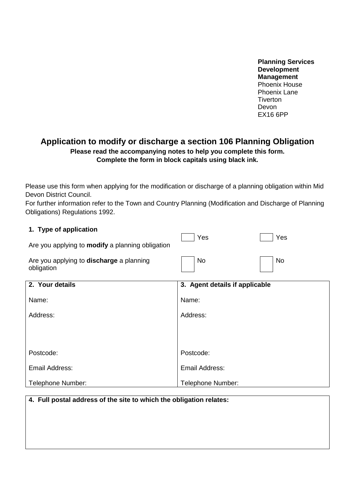**Planning Services Development Management** Phoenix House Phoenix Lane **Tiverton** Devon EX16 6PP

# **Application to modify or discharge a section 106 Planning Obligation Please read the accompanying notes to help you complete this form. Complete the form in block capitals using black ink.**

Please use this form when applying for the modification or discharge of a planning obligation within Mid Devon District Council.

For further information refer to the Town and Country Planning (Modification and Discharge of Planning Obligations) Regulations 1992.

 $\blacksquare$ 

#### **1. Type of application**

| Are you applying to modify a planning obligation              | Yes                            | Yes |
|---------------------------------------------------------------|--------------------------------|-----|
| Are you applying to <b>discharge</b> a planning<br>obligation | No                             | No  |
| 2. Your details                                               | 3. Agent details if applicable |     |
| Name:                                                         | Name:                          |     |
| $A = -1$                                                      | $A = -1$                       |     |

| Address:          | Address:          |
|-------------------|-------------------|
|                   |                   |
| Postcode:         | Postcode:         |
| Email Address:    | Email Address:    |
| Telephone Number: | Telephone Number: |

## **4. Full postal address of the site to which the obligation relates:**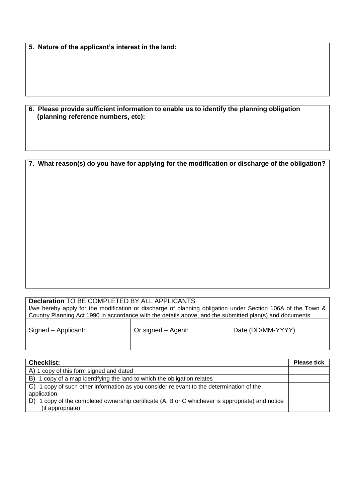**5. Nature of the applicant's interest in the land:**

| 6. Please provide sufficient information to enable us to identify the planning obligation |
|-------------------------------------------------------------------------------------------|
| (planning reference numbers, etc):                                                        |

#### **7. What reason(s) do you have for applying for the modification or discharge of the obligation?**

#### **Declaration** TO BE COMPLETED BY ALL APPLICANTS I/we hereby apply for the modification or discharge of planning obligation under Section 106A of the Town & Country Planning Act 1990 in accordance with the details above, and the submitted plan(s) and documents

| Signed – Applicant: | Or signed – Agent: | Date (DD/MM-YYYY) |
|---------------------|--------------------|-------------------|
|                     |                    |                   |

| <b>Checklist:</b>                                                                             | <b>Please tick</b> |
|-----------------------------------------------------------------------------------------------|--------------------|
| A) 1 copy of this form signed and dated                                                       |                    |
| 1 copy of a map identifying the land to which the obligation relates<br>B)                    |                    |
| C) 1 copy of such other information as you consider relevant to the determination of the      |                    |
| application                                                                                   |                    |
| 1 copy of the completed ownership certificate (A, B or C whichever is appropriate) and notice |                    |
| (if appropriate)                                                                              |                    |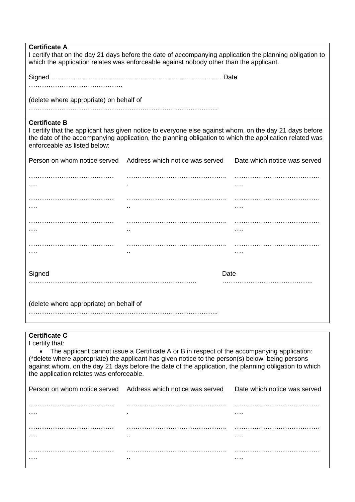| <b>Certificate A</b><br>I certify that on the day 21 days before the date of accompanying application the planning obligation to<br>which the application relates was enforceable against nobody other than the applicant.                                                                                                                                                |                                                              |                              |  |
|---------------------------------------------------------------------------------------------------------------------------------------------------------------------------------------------------------------------------------------------------------------------------------------------------------------------------------------------------------------------------|--------------------------------------------------------------|------------------------------|--|
|                                                                                                                                                                                                                                                                                                                                                                           |                                                              |                              |  |
|                                                                                                                                                                                                                                                                                                                                                                           |                                                              |                              |  |
| (delete where appropriate) on behalf of                                                                                                                                                                                                                                                                                                                                   |                                                              |                              |  |
|                                                                                                                                                                                                                                                                                                                                                                           |                                                              |                              |  |
| <b>Certificate B</b><br>I certify that the applicant has given notice to everyone else against whom, on the day 21 days before<br>the date of the accompanying application, the planning obligation to which the application related was<br>enforceable as listed below:                                                                                                  |                                                              |                              |  |
| Person on whom notice served                                                                                                                                                                                                                                                                                                                                              | Address which notice was served                              | Date which notice was served |  |
|                                                                                                                                                                                                                                                                                                                                                                           |                                                              | $\cdots$                     |  |
|                                                                                                                                                                                                                                                                                                                                                                           |                                                              | $\cdots$                     |  |
|                                                                                                                                                                                                                                                                                                                                                                           |                                                              | $\cdots$                     |  |
|                                                                                                                                                                                                                                                                                                                                                                           |                                                              |                              |  |
| Signed<br>Date                                                                                                                                                                                                                                                                                                                                                            |                                                              |                              |  |
| (delete where appropriate) on behalf of                                                                                                                                                                                                                                                                                                                                   |                                                              |                              |  |
| <b>Certificate C</b>                                                                                                                                                                                                                                                                                                                                                      |                                                              |                              |  |
| I certify that:<br>• The applicant cannot issue a Certificate A or B in respect of the accompanying application:<br>(*delete where appropriate) the applicant has given notice to the person(s) below, being persons<br>against whom, on the day 21 days before the date of the application, the planning obligation to which<br>the application relates was enforceable. |                                                              |                              |  |
|                                                                                                                                                                                                                                                                                                                                                                           | Person on whom notice served Address which notice was served | Date which notice was served |  |
|                                                                                                                                                                                                                                                                                                                                                                           |                                                              |                              |  |
|                                                                                                                                                                                                                                                                                                                                                                           |                                                              |                              |  |
|                                                                                                                                                                                                                                                                                                                                                                           |                                                              |                              |  |
|                                                                                                                                                                                                                                                                                                                                                                           |                                                              |                              |  |
|                                                                                                                                                                                                                                                                                                                                                                           |                                                              |                              |  |

 $\overline{\phantom{a}}$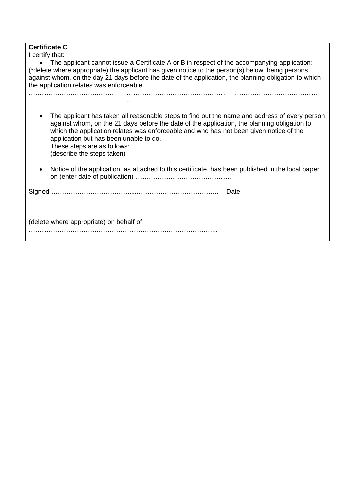### **Certificate C**

I certify that:

• The applicant cannot issue a Certificate A or B in respect of the accompanying application: (\*delete where appropriate) the applicant has given notice to the person(s) below, being persons against whom, on the day 21 days before the date of the application, the planning obligation to which the application relates was enforceable.

|                                                                                                   | application but has been unable to do.<br>These steps are as follows:<br>(describe the steps taken) | against whom, on the 21 days before the date of the application, the planning obligation to<br>which the application relates was enforceable and who has not been given notice of the | The applicant has taken all reasonable steps to find out the name and address of every person |
|---------------------------------------------------------------------------------------------------|-----------------------------------------------------------------------------------------------------|---------------------------------------------------------------------------------------------------------------------------------------------------------------------------------------|-----------------------------------------------------------------------------------------------|
| Notice of the application, as attached to this certificate, has been published in the local paper |                                                                                                     |                                                                                                                                                                                       |                                                                                               |
|                                                                                                   |                                                                                                     |                                                                                                                                                                                       | Date                                                                                          |
|                                                                                                   |                                                                                                     |                                                                                                                                                                                       |                                                                                               |
|                                                                                                   | (delete where appropriate) on behalf of                                                             |                                                                                                                                                                                       |                                                                                               |
|                                                                                                   |                                                                                                     |                                                                                                                                                                                       |                                                                                               |